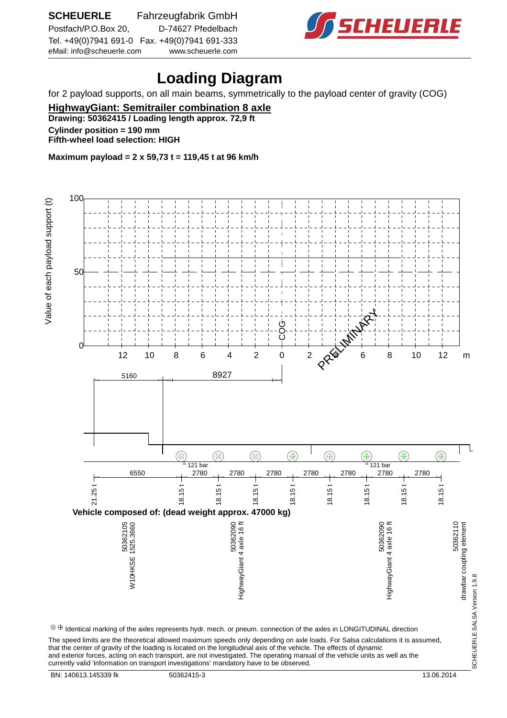

## **Loading Diagram**

for 2 payload supports, on all main beams, symmetrically to the payload center of gravity (COG)

**HighwayGiant: Semitrailer combination 8 axle Drawing: 50362415 / Loading length approx. 72,9 ft Cylinder position = 190 mm Fifth-wheel load selection: HIGH**

**Maximum payload = 2 x 59,73 t = 119,45 t at 96 km/h**

 100 value of each payload support (t) Value of each payloge is entered. 50 ტ<br>CO **PRIMIN**  $0<sup>+</sup>$  12 10 8 6 4 2 0 2  $\alpha$  6 8 10 12 m 8927 5160 l  $\circledR$  $\circledast$  $\circledast$  $^{\circledR}$  $^{\circledR}$  $^{\small\textcircled{\footnotesize{F}}}$  $\circledast$  $^{\small{\textcircled{\footnotesize{A}}}}$  $^{\circ}$  121 bar  $^{\circ}$  121 bar 6550 2780 2780 2780 2780 2780 2780 2780 18.15 t 18.15 t 18.15 t 18.15 t 18.15 t 21.25 t 18.15 t 18.15 t 18.15 t **Vehicle composed of: (dead weight approx. 47000 kg)** 50362090<br>HighwayGiant 4 axle 16 ft 50362030<br>HighwayGiant 4 axle 16 ft 50362110<br>drawbar coupling element 50362105<br>710HKSE 1525.3660 W10HKSE 1525.3660 HighwayGiant 4 axle 16 ft HighwayGiant 4 axle 16 ft drawbar coupling element SCHEUERLE SALSA Version 1.9.8 SCHEUERLE SALSA Version 1.9.8  $\otimes\oplus$  Identical marking of the axles represents hydr. mech. or pneum. connection of the axles in LONGITUDINAL direction The speed limits are the theoretical allowed maximum speeds only depending on axle loads. For Salsa calculations it is assumed, that the center of gravity of the loading is located on the longitudinal axis of the vehicle. The effects of dynamic and exterior forces, acting on each transport, are not investigated. The operating manual of the vehicle units as well as the

currently valid 'information on transport investigations' mandatory have to be observed.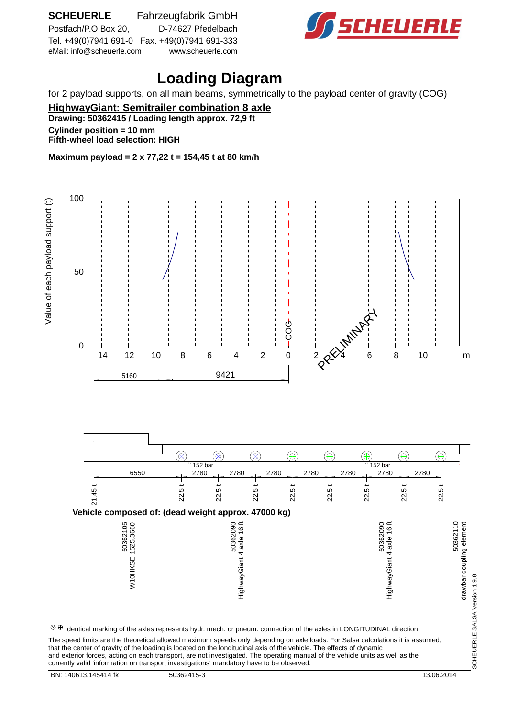

## **Loading Diagram**

for 2 payload supports, on all main beams, symmetrically to the payload center of gravity (COG)

**HighwayGiant: Semitrailer combination 8 axle Drawing: 50362415 / Loading length approx. 72,9 ft**

**Cylinder position = 10 mm**

**Fifth-wheel load selection: HIGH**

**Maximum payload = 2 x 77,22 t = 154,45 t at 80 km/h**

 100 value of each payload support (t) Value of each payloge is entered. 50 PRELIMINARY COG  $0<sup>+</sup>$  14 12 10 8 6 4 2 0 2  $\alpha$  4 6 8 10 m 9421 5160 l  $\circledR$  $\circledcirc$  $\circledast$  $\circledR$  $^{\circledR}$  $^{\small\textcircled{\footnotesize{F}}}$  $\circledast$  $^{\small \textcircled{\footnotesize{F}}}$  $^{\circ}$  152 bar  $^{\circ}$  152 bar 6550 2780 2780 2780 2780 2780 2780 2780 22.5 t 22.5 t 22.5 t 22.5 t 22.5 t 22.5 t 21.45 t 22.5 t 22.5 t **Vehicle composed of: (dead weight approx. 47000 kg)** 50362090<br>HighwayGiant 4 axle 16 ft 50362030<br>HighwayGiant 4 axle 16 ft 50362110<br>drawbar coupling element 50362105<br>710HKSE 1525.3660 W10HKSE 1525.3660 HighwayGiant 4 axle 16 ft HighwayGiant 4 axle 16 ft drawbar coupling element SCHEUERLE SALSA Version 1.9.8 SCHEUERLE SALSA Version 1.9.8  $\otimes\oplus$  Identical marking of the axles represents hydr. mech. or pneum. connection of the axles in LONGITUDINAL direction The speed limits are the theoretical allowed maximum speeds only depending on axle loads. For Salsa calculations it is assumed, that the center of gravity of the loading is located on the longitudinal axis of the vehicle. The effects of dynamic

and exterior forces, acting on each transport, are not investigated. The operating manual of the vehicle units as well as the currently valid 'information on transport investigations' mandatory have to be observed.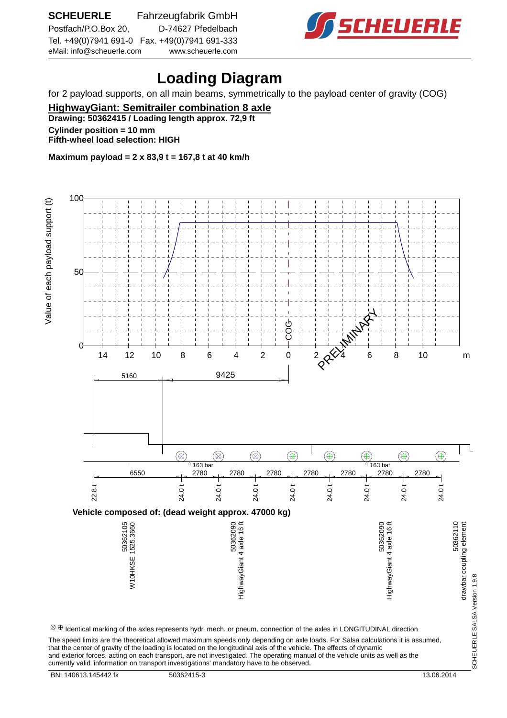

## **Loading Diagram**

for 2 payload supports, on all main beams, symmetrically to the payload center of gravity (COG)

**HighwayGiant: Semitrailer combination 8 axle**

**Drawing: 50362415 / Loading length approx. 72,9 ft**

**Cylinder position = 10 mm Fifth-wheel load selection: HIGH**

**Maximum payload = 2 x 83,9 t = 167,8 t at 40 km/h**

 100 value of each payload support (t) Value of each payloge is entered. 50 PRELIMINARY ტ<br>CO  $0<sup>+</sup>$  14 12 10 8 6 4 2 0 2  $\alpha$  4 6 8 10 m 9425 5160 l  $\circledR$  $\circledast$  $\circledast$  $\circledR$  $^{\circledR}$  $^{\small\textcircled{\footnotesize{F}}}$  $\circledast$  $^{\small \textcircled{\footnotesize{F}}}$  $^{\circ}$  163 bar  $^{\circ}$  163 bar 6550 2780 2780 2780 2780 2780 2780 2780 24.0 t 24.0 t 24.0 t 22.8 t 24.0 t 24.0 t 24.0 t 24.0 t 24.0 t **Vehicle composed of: (dead weight approx. 47000 kg)** 50362090<br>HighwayGiant 4 axle 16 ft 50362030<br>HighwayGiant 4 axle 16 ft 50362110<br>drawbar coupling element 50362105<br>10HKSE 1525.3660 W10HKSE 1525.3660 HighwayGiant 4 axle 16 ft HighwayGiant 4 axle 16 ft drawbar coupling element SCHEUERLE SALSA Version 1.9.8 SCHEUERLE SALSA Version 1.9.8  $\otimes\oplus$  Identical marking of the axles represents hydr. mech. or pneum. connection of the axles in LONGITUDINAL direction The speed limits are the theoretical allowed maximum speeds only depending on axle loads. For Salsa calculations it is assumed, that the center of gravity of the loading is located on the longitudinal axis of the vehicle. The effects of dynamic and exterior forces, acting on each transport, are not investigated. The operating manual of the vehicle units as well as the